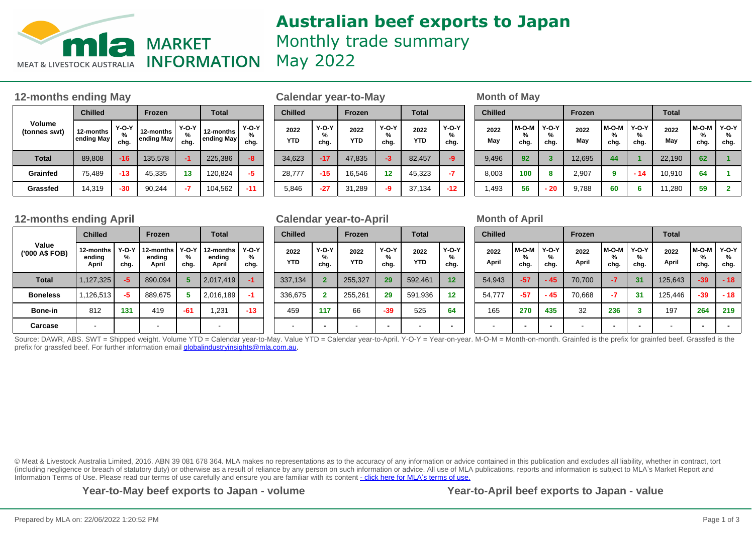

## **Australian beef exports to Japan** Monthly trade summary May 2022

## **12-months ending May be a set of Calendar year-to-May be a set of May Month of May**

| Volume<br>(tonnes swt) | <b>Chilled</b>                                                             |       | <b>Frozen</b>        |                         | <b>Total</b>              |       |  |  |
|------------------------|----------------------------------------------------------------------------|-------|----------------------|-------------------------|---------------------------|-------|--|--|
|                        | $Y-O-Y$<br>12-months<br>12-months<br>%<br>ending May<br>ending May<br>chg. |       | $Y-O-Y$<br>%<br>chg. | 12-months<br>ending May | <b>Y-O-Y</b><br>%<br>chg. |       |  |  |
| <b>Total</b>           | 89,808                                                                     | $-16$ | 135,578              | -1                      | 225,386                   | -8    |  |  |
| Grainfed               | 75,489                                                                     | $-13$ | 45,335               | 13                      | 120,824                   | -5    |  |  |
| Grassfed               | 14,319                                                                     | -30   | 90,244               | -7                      | 104,562                   | $-11$ |  |  |

| <b>Chilled</b>     |                           | <b>Frozen</b>      |                      | <b>Total</b>       |                      |  |  |
|--------------------|---------------------------|--------------------|----------------------|--------------------|----------------------|--|--|
| 2022<br><b>YTD</b> | <b>Y-O-Y</b><br>%<br>chg. | 2022<br><b>YTD</b> | $Y-O-Y$<br>%<br>chg. | 2022<br><b>YTD</b> | $Y-O-Y$<br>%<br>chg. |  |  |
| 34,623             | $-17$                     | 47,835             | $-3$                 | 82,457             | -9                   |  |  |
| 28,777             | $-15$                     | 16,546             | 12                   | 45,323             | -7                   |  |  |
| 5,846              | $-27$                     | 31,289             | -9                   | 37,134             | $-12$                |  |  |

| Frozen               | <b>Total</b>         |                         | <b>Chilled</b>       |                    | <b>Frozen</b>        |                    | <b>Total</b>         |                    | <b>Chilled</b>       |             |                         | <b>Frozen</b> |             |                      | <b>Total</b>         |             |                      |                           |
|----------------------|----------------------|-------------------------|----------------------|--------------------|----------------------|--------------------|----------------------|--------------------|----------------------|-------------|-------------------------|---------------|-------------|----------------------|----------------------|-------------|----------------------|---------------------------|
| 2-months<br>ding May | $Y-O-Y$<br>%<br>chg. | 12-months<br>ending May | $Y-O-Y$<br>%<br>chg. | 2022<br><b>YTD</b> | $Y-O-Y$<br>%<br>chg. | 2022<br><b>YTD</b> | $Y-O-Y$<br>%<br>chg. | 2022<br><b>YTD</b> | $Y-O-Y$<br>%<br>chg. | 2022<br>May | $M-O-M$   Y-O-Y<br>chg. | %<br>chg.     | 2022<br>May | l M-O-M<br>%<br>chg. | $Y-O-Y$<br>℅<br>chg. | 2022<br>May | l M-O-M<br>℅<br>chg. | <b>Y-O-Y</b><br>%<br>chg. |
| 135,578              | -1                   | 225,386                 | -8                   | 34,623             | $-17$                | 47,835             | -3                   | 82,457             | -9                   | 9,496       | 92                      |               | 12,695      | 44                   |                      | 22.190      | 62                   |                           |
| 45,335               | 13                   | 120,824                 | -5                   | 28.777             | $-15$                | 16,546             | 12                   | 45,323             | -7                   | 8,003       | 100                     | 8             | 2.907       | 9                    | $-14$                | 10,910      | 64                   |                           |
| 90,244               | -7                   | 104,562                 | $-11$                | 5,846              | $-27$                | 31,289             | -9                   | 37,134             | $-12$                | 1,493       | 56                      | $-20$         | 9,788       | 60                   | 6                    | 11,280      | 59                   |                           |

## **12-months ending April Calendar year-to-April Month of April**

|                         | <b>Chilled</b>               |                      | <b>Frozen</b>                |                      | <b>Total</b>                 |                      |  |  |
|-------------------------|------------------------------|----------------------|------------------------------|----------------------|------------------------------|----------------------|--|--|
| Value<br>('000 A\$ FOB) | 12-months<br>ending<br>April | $Y-O-Y$<br>℅<br>chg. | 12-months<br>ending<br>April | $Y-O-Y$<br>℅<br>chg. | 12-months<br>ending<br>April | $Y-O-Y$<br>%<br>chg. |  |  |
| <b>Total</b>            | 1,127,325                    | $-5$                 | 890.094                      | 5                    | 2,017,419                    | -1                   |  |  |
| <b>Boneless</b>         | 1,126,513                    | -5                   | 889,675                      | 5                    | 2,016,189                    | -1                   |  |  |
| Bone-in                 | 812                          | 131                  | 419                          | $-61$                | 1,231                        | $-13$                |  |  |
| Carcase                 |                              |                      |                              |                      |                              |                      |  |  |

| <b>Chilled</b>     |                           | <b>Frozen</b>      |                      | <b>Total</b>       |                      |  |  |  |
|--------------------|---------------------------|--------------------|----------------------|--------------------|----------------------|--|--|--|
| 2022<br><b>YTD</b> | <b>Y-O-Y</b><br>%<br>chg. | 2022<br><b>YTD</b> | $Y-O-Y$<br>%<br>chg. | 2022<br><b>YTD</b> | $Y-O-Y$<br>℅<br>chg. |  |  |  |
| 337,134            | $\overline{2}$            | 255,327            | 29                   | 592,461            | 12                   |  |  |  |
| 336,675            | $\mathbf{2}$              | 255,261            | 29                   | 591,936            | 12                   |  |  |  |
| 459                | 117                       | 66                 | $-39$                | 525                | 64                   |  |  |  |
|                    |                           |                    |                      |                    |                      |  |  |  |

| <b>Chilled</b> |                                                 |                | <b>Frozen</b>  |                      |                           | <b>Total</b>  |                    |                      |  |  |
|----------------|-------------------------------------------------|----------------|----------------|----------------------|---------------------------|---------------|--------------------|----------------------|--|--|
| 2022<br>April  | <b>Y-O-Y</b><br>M-O-M<br>℅<br>%<br>chg.<br>chg. |                | 2022<br>April  | $M-O-M$<br>%<br>chg. | <b>Y-O-Y</b><br>%<br>chg. | 2022<br>April | M-O-M<br>%<br>chg. | $Y-O-Y$<br>℅<br>chg. |  |  |
| 54,943         | $-57$                                           | - 45           | 70,700         | $-7$                 | 31                        | 125,643       | $-39$              | $-18$                |  |  |
| 54,777         | $-57$                                           | $-45$          | 70,668         | -7                   | 31                        | 125,446       | $-39$              | $-18$                |  |  |
| 165            | 270                                             | 435            | 32             | 236                  | 3                         | 197           | 264                | 219                  |  |  |
| -              | $\overline{\phantom{0}}$                        | $\blacksquare$ | $\blacksquare$ | $\blacksquare$       | $\blacksquare$            |               |                    |                      |  |  |

Source: DAWR, ABS. SWT = Shipped weight. Volume YTD = Calendar year-to-May. Value YTD = Calendar year-to-April. Y-O-Y = Year-on-year. M-O-M = Month-on-month. Grainfed is the prefix for grainfed beef. Grassfed is the interv prefix for grassfed beef. For further information email globalindustryinsights@mla.com.au.

© Meat & Livestock Australia Limited, 2016. ABN 39 081 678 364. MLA makes no representations as to the accuracy of any information or advice contained in this publication and excludes all liability, whether in contract, tort (including negligence or breach of statutory duty) or otherwise as a result of reliance by any person on such information or advice. All use of MLA publications, reports and information is subject to MLA's Market Report an Information Terms of Use. Please read our terms of use carefully and ensure you are familiar with its content [- click here for MLA](http://www.mla.com.au/files/edae0364-a185-4a6f-9dff-a42700d1463a/MLA-Market-Report-and-Information-Terms-of-use-Dec-2014.pdf)'[s terms of use.](http://www.mla.com.au/files/edae0364-a185-4a6f-9dff-a42700d1463a/MLA-Market-Report-and-Information-Terms-of-use-Dec-2014.pdf)

**Year-to-May beef exports to Japan - volume**

**Year-to-April beef exports to Japan - value**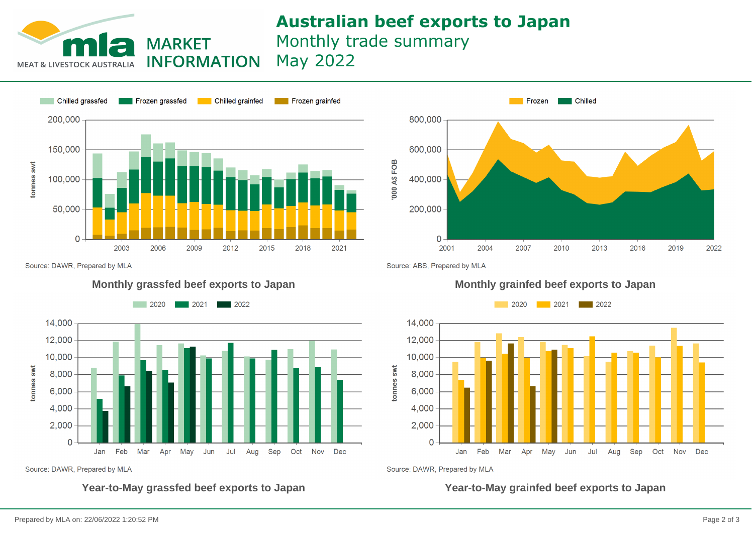## **Australian beef exports to Japan** Monthly trade summary May 2022

**INFORMATION MEAT & LIVESTOCK AUSTRALIA** 



**MARKET** 

Source: DAWR, Prepared by MLA



Source: DAWR, Prepared by MLA



Source: ABS, Prepared by MLA

### **Monthly grassfed beef exports to Japan Monthly grainfed beef exports to Japan**



Source: DAWR, Prepared by MLA

**Year-to-May grassfed beef exports to Japan Year-to-May grainfed beef exports to Japan**